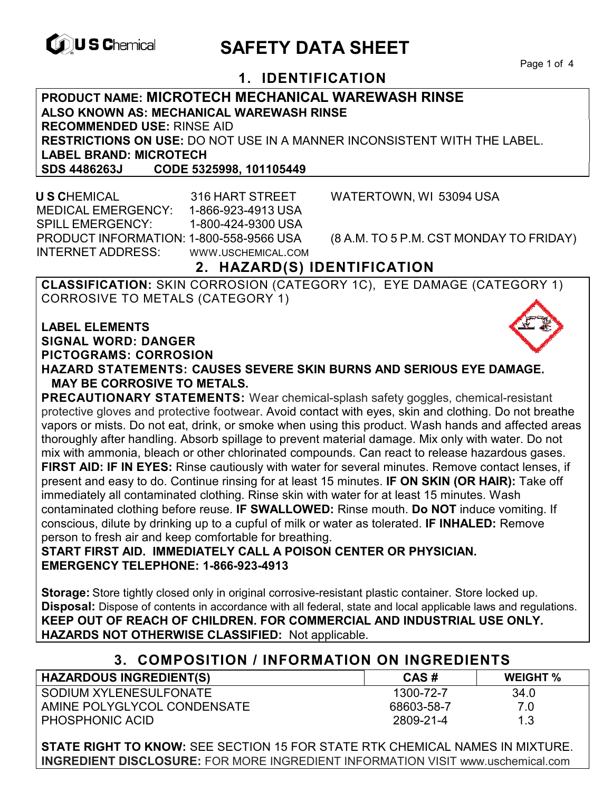

# **EXAGREM** SAFETY DATA SHEET

Page 1 of 4

## **1. IDENTIFICATION**

**PRODUCT NAME: MICROTECH MECHANICAL WAREWASH RINSE ALSO KNOWN AS: MECHANICAL WAREWASH RINSE RECOMMENDED USE:** RINSE AID **RESTRICTIONS ON USE:** DO NOT USE IN A MANNER INCONSISTENT WITH THE LABEL. **LABEL BRAND: MICROTECH SDS 4486263J CODE 5325998, 101105449** 

 **U S C**HEMICAL 316 HART STREET WATERTOWN, WI 53094 USA MEDICAL EMERGENCY: 1-866-923-4913 USA SPILL EMERGENCY: 1-800-424-9300 USA PRODUCT INFORMATION: 1-800-558-9566 USA (8 A.M. TO 5 P.M. CST MONDAY TO FRIDAY) INTERNET ADDRESS: WWW.USCHEMICAL.COM

## **2. HAZARD(S) IDENTIFICATION**

**CLASSIFICATION:** SKIN CORROSION (CATEGORY 1C), EYE DAMAGE (CATEGORY 1) CORROSIVE TO METALS (CATEGORY 1)

**LABEL ELEMENTS SIGNAL WORD: DANGER PICTOGRAMS: CORROSION**



**PRECAUTIONARY STATEMENTS:** Wear chemical-splash safety goggles, chemical-resistant protective gloves and protective footwear. Avoid contact with eyes, skin and clothing. Do not breathe vapors or mists. Do not eat, drink, or smoke when using this product. Wash hands and affected areas thoroughly after handling. Absorb spillage to prevent material damage. Mix only with water. Do not mix with ammonia, bleach or other chlorinated compounds. Can react to release hazardous gases. **FIRST AID: IF IN EYES:** Rinse cautiously with water for several minutes. Remove contact lenses, if present and easy to do. Continue rinsing for at least 15 minutes. **IF ON SKIN (OR HAIR):** Take off immediately all contaminated clothing. Rinse skin with water for at least 15 minutes. Wash contaminated clothing before reuse. **IF SWALLOWED:** Rinse mouth. **Do NOT** induce vomiting. If conscious, dilute by drinking up to a cupful of milk or water as tolerated. **IF INHALED:** Remove person to fresh air and keep comfortable for breathing.

**START FIRST AID. IMMEDIATELY CALL A POISON CENTER OR PHYSICIAN. EMERGENCY TELEPHONE: 1-866-923-4913** 

**Storage:** Store tightly closed only in original corrosive-resistant plastic container. Store locked up. **Disposal:** Dispose of contents in accordance with all federal, state and local applicable laws and regulations. **KEEP OUT OF REACH OF CHILDREN. FOR COMMERCIAL AND INDUSTRIAL USE ONLY. HAZARDS NOT OTHERWISE CLASSIFIED:** Not applicable.

### **3. COMPOSITION / INFORMATION ON INGREDIENTS**

| <b>HAZARDOUS INGREDIENT(S)</b> | CAS#       | <b>WEIGHT</b> % |
|--------------------------------|------------|-----------------|
| SODIUM XYLENESULFONATE         | 1300-72-7  | 34.0            |
| AMINE POLYGLYCOL CONDENSATE    | 68603-58-7 | 7.0             |
| PHOSPHONIC ACID                | 2809-21-4  | 1.3             |

**STATE RIGHT TO KNOW:** SEE SECTION 15 FOR STATE RTK CHEMICAL NAMES IN MIXTURE. **INGREDIENT DISCLOSURE:** FOR MORE INGREDIENT INFORMATION VISIT www.uschemical.com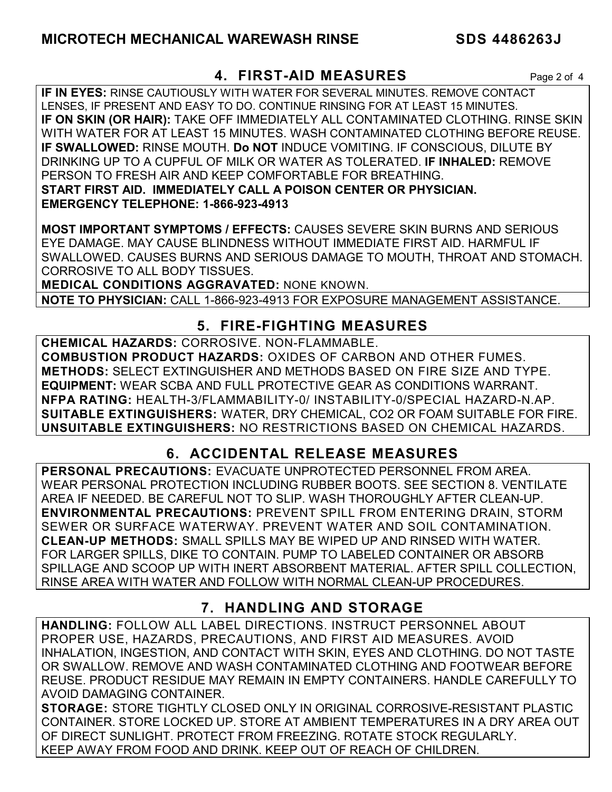## **4. FIRST-AID MEASURES** Page 2 of 4

**IF IN EYES:** RINSE CAUTIOUSLY WITH WATER FOR SEVERAL MINUTES. REMOVE CONTACT LENSES, IF PRESENT AND EASY TO DO. CONTINUE RINSING FOR AT LEAST 15 MINUTES. **IF ON SKIN (OR HAIR):** TAKE OFF IMMEDIATELY ALL CONTAMINATED CLOTHING. RINSE SKIN WITH WATER FOR AT LEAST 15 MINUTES. WASH CONTAMINATED CLOTHING BEFORE REUSE. **IF SWALLOWED:** RINSE MOUTH. **Do NOT** INDUCE VOMITING. IF CONSCIOUS, DILUTE BY DRINKING UP TO A CUPFUL OF MILK OR WATER AS TOLERATED. **IF INHALED:** REMOVE PERSON TO FRESH AIR AND KEEP COMFORTABLE FOR BREATHING. **START FIRST AID. IMMEDIATELY CALL A POISON CENTER OR PHYSICIAN. EMERGENCY TELEPHONE: 1-866-923-4913**

**MOST IMPORTANT SYMPTOMS / EFFECTS:** CAUSES SEVERE SKIN BURNS AND SERIOUS EYE DAMAGE. MAY CAUSE BLINDNESS WITHOUT IMMEDIATE FIRST AID. HARMFUL IF SWALLOWED. CAUSES BURNS AND SERIOUS DAMAGE TO MOUTH, THROAT AND STOMACH. CORROSIVE TO ALL BODY TISSUES.

**MEDICAL CONDITIONS AGGRAVATED:** NONE KNOWN.

**NOTE TO PHYSICIAN:** CALL 1-866-923-4913 FOR EXPOSURE MANAGEMENT ASSISTANCE.

## **5. FIRE-FIGHTING MEASURES**

**CHEMICAL HAZARDS:** CORROSIVE. NON-FLAMMABLE. **COMBUSTION PRODUCT HAZARDS:** OXIDES OF CARBON AND OTHER FUMES. **METHODS:** SELECT EXTINGUISHER AND METHODS BASED ON FIRE SIZE AND TYPE. **EQUIPMENT:** WEAR SCBA AND FULL PROTECTIVE GEAR AS CONDITIONS WARRANT. **NFPA RATING:** HEALTH-3/FLAMMABILITY-0/ INSTABILITY-0/SPECIAL HAZARD-N.AP. **SUITABLE EXTINGUISHERS:** WATER, DRY CHEMICAL, CO2 OR FOAM SUITABLE FOR FIRE. **UNSUITABLE EXTINGUISHERS:** NO RESTRICTIONS BASED ON CHEMICAL HAZARDS.

## **6. ACCIDENTAL RELEASE MEASURES**

**PERSONAL PRECAUTIONS:** EVACUATE UNPROTECTED PERSONNEL FROM AREA. WEAR PERSONAL PROTECTION INCLUDING RUBBER BOOTS. SEE SECTION 8. VENTILATE AREA IF NEEDED. BE CAREFUL NOT TO SLIP. WASH THOROUGHLY AFTER CLEAN-UP. **ENVIRONMENTAL PRECAUTIONS:** PREVENT SPILL FROM ENTERING DRAIN, STORM SEWER OR SURFACE WATERWAY. PREVENT WATER AND SOIL CONTAMINATION. **CLEAN-UP METHODS:** SMALL SPILLS MAY BE WIPED UP AND RINSED WITH WATER. FOR LARGER SPILLS, DIKE TO CONTAIN. PUMP TO LABELED CONTAINER OR ABSORB SPILLAGE AND SCOOP UP WITH INERT ABSORBENT MATERIAL. AFTER SPILL COLLECTION, RINSE AREA WITH WATER AND FOLLOW WITH NORMAL CLEAN-UP PROCEDURES.

## **7. HANDLING AND STORAGE**

**HANDLING:** FOLLOW ALL LABEL DIRECTIONS. INSTRUCT PERSONNEL ABOUT PROPER USE, HAZARDS, PRECAUTIONS, AND FIRST AID MEASURES. AVOID INHALATION, INGESTION, AND CONTACT WITH SKIN, EYES AND CLOTHING. DO NOT TASTE OR SWALLOW. REMOVE AND WASH CONTAMINATED CLOTHING AND FOOTWEAR BEFORE REUSE. PRODUCT RESIDUE MAY REMAIN IN EMPTY CONTAINERS. HANDLE CAREFULLY TO AVOID DAMAGING CONTAINER.

**STORAGE:** STORE TIGHTLY CLOSED ONLY IN ORIGINAL CORROSIVE-RESISTANT PLASTIC CONTAINER. STORE LOCKED UP. STORE AT AMBIENT TEMPERATURES IN A DRY AREA OUT OF DIRECT SUNLIGHT. PROTECT FROM FREEZING. ROTATE STOCK REGULARLY. KEEP AWAY FROM FOOD AND DRINK. KEEP OUT OF REACH OF CHILDREN.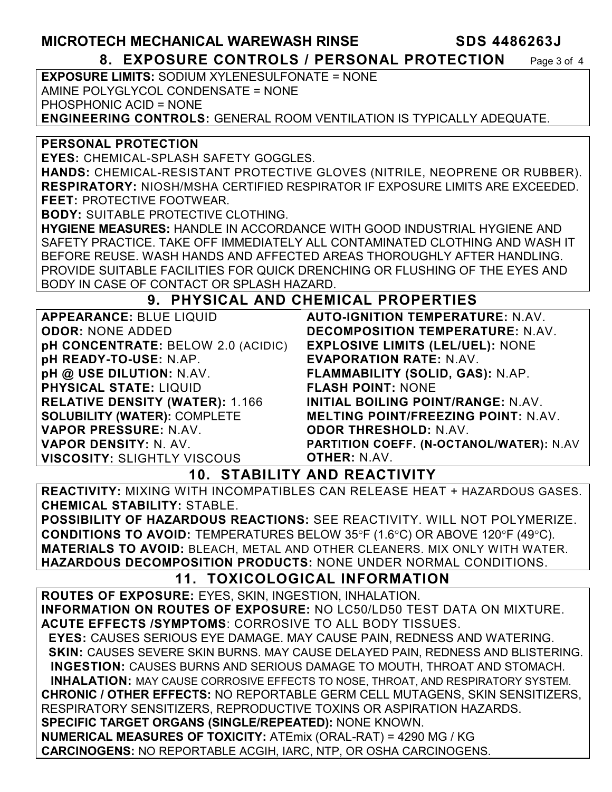## **MICROTECH MECHANICAL WAREWASH RINSE SDS 4486263J**

#### **8. EXPOSURE CONTROLS / PERSONAL PROTECTION** Page 3 of 4

**EXPOSURE LIMITS:** SODIUM XYLENESULFONATE = NONE AMINE POLYGLYCOL CONDENSATE = NONE PHOSPHONIC ACID = NONE **ENGINEERING CONTROLS:** GENERAL ROOM VENTILATION IS TYPICALLY ADEQUATE.

#### **PERSONAL PROTECTION**

**EYES:** CHEMICAL-SPLASH SAFETY GOGGLES.

**HANDS:** CHEMICAL-RESISTANT PROTECTIVE GLOVES (NITRILE, NEOPRENE OR RUBBER). **RESPIRATORY:** NIOSH/MSHA CERTIFIED RESPIRATOR IF EXPOSURE LIMITS ARE EXCEEDED. **FEET:** PROTECTIVE FOOTWEAR.

**BODY:** SUITABLE PROTECTIVE CLOTHING.

**HYGIENE MEASURES:** HANDLE IN ACCORDANCE WITH GOOD INDUSTRIAL HYGIENE AND SAFETY PRACTICE. TAKE OFF IMMEDIATELY ALL CONTAMINATED CLOTHING AND WASH IT BEFORE REUSE. WASH HANDS AND AFFECTED AREAS THOROUGHLY AFTER HANDLING. PROVIDE SUITABLE FACILITIES FOR QUICK DRENCHING OR FLUSHING OF THE EYES AND BODY IN CASE OF CONTACT OR SPLASH HAZARD.

### **9. PHYSICAL AND CHEMICAL PROPERTIES**

| <b>APPEARANCE: BLUE LIQUID</b>            |
|-------------------------------------------|
| <b>ODOR: NONE ADDED</b>                   |
| <b>pH CONCENTRATE: BELOW 2.0 (ACIDIC)</b> |
| pH READY-TO-USE: N.AP.                    |
| pH @ USE DILUTION: N.AV.                  |
| <b>PHYSICAL STATE: LIQUID</b>             |
| <b>RELATIVE DENSITY (WATER): 1.166</b>    |
| <b>SOLUBILITY (WATER): COMPLETE</b>       |
| <b>VAPOR PRESSURE: N.AV.</b>              |
| <b>VAPOR DENSITY: N. AV.</b>              |
| <b>VISCOSITY: SLIGHTLY VISCOUS</b>        |

**AUTO-IGNITION TEMPERATURE:** N.AV. **DECOMPOSITION TEMPERATURE:** N.AV. **EXPLOSIVE LIMITS (LEL/UEL):** NONE **EVAPORATION RATE:** N.AV. **FLAMMABILITY (SOLID, GAS):** N.AP. **FLASH POINT:** NONE **INITIAL BOILING POINT/RANGE:** N.AV. **MELTING POINT/FREEZING POINT:** N.AV. **ODOR THRESHOLD:** N.AV. **PARTITION COEFF. (N-OCTANOL/WATER):** N.AV **OTHER:** N.AV.

**10. STABILITY AND REACTIVITY** 

**REACTIVITY:** MIXING WITH INCOMPATIBLES CAN RELEASE HEAT + HAZARDOUS GASES. **CHEMICAL STABILITY:** STABLE.

**POSSIBILITY OF HAZARDOUS REACTIONS:** SEE REACTIVITY. WILL NOT POLYMERIZE. **CONDITIONS TO AVOID:** TEMPERATURES BELOW 35°F (1.6°C) OR ABOVE 120°F (49°C). **MATERIALS TO AVOID:** BLEACH, METAL AND OTHER CLEANERS. MIX ONLY WITH WATER. **HAZARDOUS DECOMPOSITION PRODUCTS:** NONE UNDER NORMAL CONDITIONS.

## **11. TOXICOLOGICAL INFORMATION**

**ROUTES OF EXPOSURE:** EYES, SKIN, INGESTION, INHALATION. **INFORMATION ON ROUTES OF EXPOSURE:** NO LC50/LD50 TEST DATA ON MIXTURE. **ACUTE EFFECTS /SYMPTOMS**: CORROSIVE TO ALL BODY TISSUES.  **EYES:** CAUSES SERIOUS EYE DAMAGE. MAY CAUSE PAIN, REDNESS AND WATERING. **SKIN: CAUSES SEVERE SKIN BURNS. MAY CAUSE DELAYED PAIN, REDNESS AND BLISTERING. INGESTION:** CAUSES BURNS AND SERIOUS DAMAGE TO MOUTH, THROAT AND STOMACH. **INHALATION:** MAY CAUSE CORROSIVE EFFECTS TO NOSE, THROAT, AND RESPIRATORY SYSTEM. **CHRONIC / OTHER EFFECTS:** NO REPORTABLE GERM CELL MUTAGENS, SKIN SENSITIZERS, RESPIRATORY SENSITIZERS, REPRODUCTIVE TOXINS OR ASPIRATION HAZARDS. **SPECIFIC TARGET ORGANS (SINGLE/REPEATED):** NONE KNOWN. **NUMERICAL MEASURES OF TOXICITY:** ATEmix (ORAL-RAT) = 4290 MG / KG **CARCINOGENS:** NO REPORTABLE ACGIH, IARC, NTP, OR OSHA CARCINOGENS.